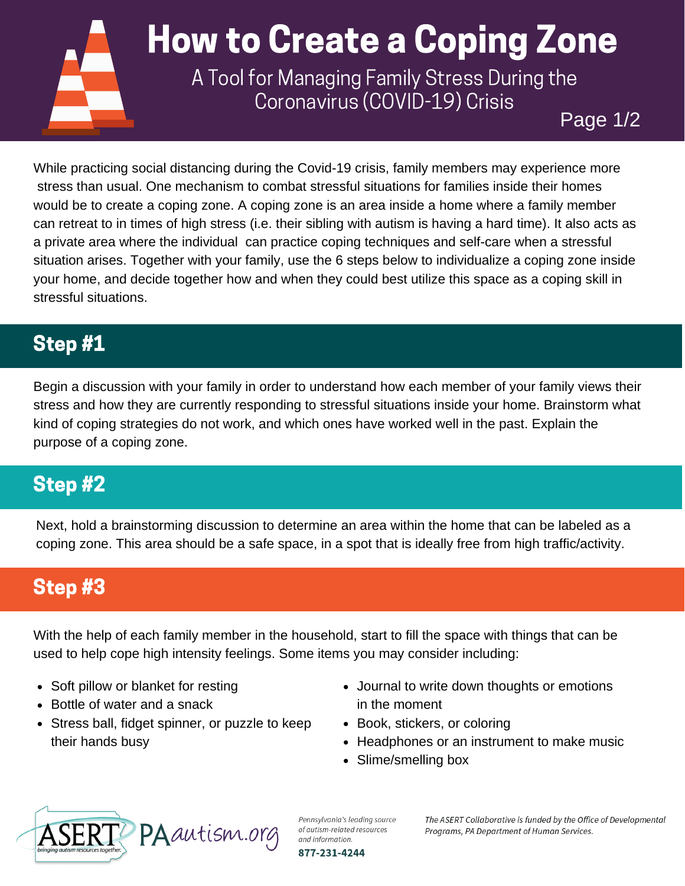

Coronavirus (COVID-19) Crisis

Page 1/2

While practicing social distancing during the Covid-19 crisis, family members may experience more stress than usual. One mechanism to combat stressful situations for families inside their homes would be to create a coping zone. A coping zone is an area inside a home where a family member can retreat to in times of high stress (i.e. their sibling with autism is having a hard time). It also acts as a private area where the individual can practice coping techniques and self-care when a stressful situation arises. Together with your family, use the 6 steps below to individualize a coping zone inside your home, and decide together how and when they could best utilize this space as a coping skill in stressful situations.

### Step #1

Begin a discussion with your family in order to understand how each member of your family views their stress and how they are currently responding to stressful situations inside your home. Brainstorm what kind of coping strategies do not work, and which ones have worked well in the past. Explain the purpose of a coping zone.

# Step #2

Next, hold a brainstorming discussion to determine an area within the home that can be labeled as a coping zone. This area should be a safe space, in a spot that is ideally free from high traffic/activity.

### Step #3

With the help of each family member in the household, start to fill the space with things that can be used to help cope high intensity feelings. Some items you may consider including:

- Soft pillow or blanket for resting
- Bottle of water and a snack
- Stress ball, fidget spinner, or puzzle to keep their hands busy
- Journal to write down thoughts or emotions in the moment
- Book, stickers, or coloring
- Headphones or an instrument to make music
- Slime/smelling box



Pennsylvania's leading source of autism-related resources and information. 877-231-4244

The ASERT Collaborative is funded by the Office of Developmental Programs, PA Department of Human Services.